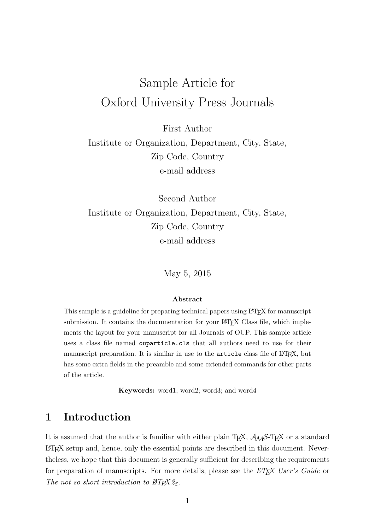# Sample Article for Oxford University Press Journals

First Author

Institute or Organization, Department, City, State, Zip Code, Country e-mail address

Second Author Institute or Organization, Department, City, State, Zip Code, Country e-mail address

May 5, 2015

#### Abstract

This sample is a guideline for preparing technical papers using LATEX for manuscript submission. It contains the documentation for your LAT<sub>EX</sub> Class file, which implements the layout for your manuscript for all Journals of OUP. This sample article uses a class file named ouparticle.cls that all authors need to use for their manuscript preparation. It is similar in use to the article class file of LAT<sub>E</sub>X, but has some extra fields in the preamble and some extended commands for other parts of the article.

Keywords: word1; word2; word3; and word4

# 1 Introduction

It is assumed that the author is familiar with either plain T<sub>E</sub>X,  $\mathcal{A}_{\mathcal{M}}\mathcal{S}$ -T<sub>E</sub>X or a standard LATEX setup and, hence, only the essential points are described in this document. Nevertheless, we hope that this document is generally sufficient for describing the requirements for preparation of manuscripts. For more details, please see the  $BT_FX$  User's Guide or The not so short introduction to  $\angle BTEX \mathcal{Z}_{\epsilon}$ .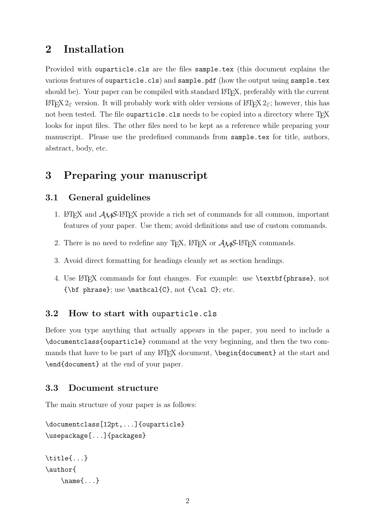# 2 Installation

Provided with ouparticle.cls are the files sample.tex (this document explains the various features of ouparticle.cls) and sample.pdf (how the output using sample.tex should be). Your paper can be compiled with standard LAT<sub>E</sub>X, preferably with the current LAT<sub>E</sub>X 2<sub>ε</sub> version. It will probably work with older versions of LAT<sub>E</sub>X 2<sub>ε</sub>; however, this has not been tested. The file ouparticle.cls needs to be copied into a directory where T<sub>E</sub>X looks for input files. The other files need to be kept as a reference while preparing your manuscript. Please use the predefined commands from sample.tex for title, authors, abstract, body, etc.

# 3 Preparing your manuscript

# 3.1 General guidelines

- 1. LAT<sub>EX</sub> and  $A_{\mathcal{M}}S$ -LAT<sub>EX</sub> provide a rich set of commands for all common, important features of your paper. Use them; avoid definitions and use of custom commands.
- 2. There is no need to redefine any T<sub>E</sub>X,  $\triangle F$ <sub>E</sub>X or  $\triangle A_{\mathcal{M}}$ S-L<sup>A</sup>T<sub>E</sub>X commands.
- 3. Avoid direct formatting for headings cleanly set as section headings.
- 4. Use LATEX commands for font changes. For example: use \textbf{phrase}, not  ${\bf phrase};$  use  $\mathcal{C},$  not  ${\cal C};$  etc.

## 3.2 How to start with ouparticle.cls

Before you type anything that actually appears in the paper, you need to include a \documentclass{ouparticle} command at the very beginning, and then the two commands that have to be part of any  $\langle \text{login}\{\text{document}\}\rangle$  at the start and \end{document} at the end of your paper.

## 3.3 Document structure

The main structure of your paper is as follows:

```
\documentclass[12pt,...]{ouparticle}
\usepackage[...]{packages}
```

```
\title{...}
\author{
    \name{...}
```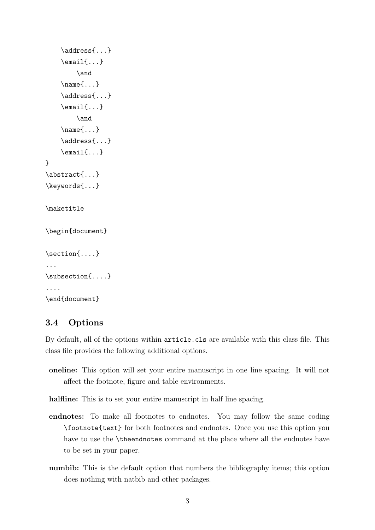```
\address{...}
    \text{lemail}\{... \}\and
    \name{...}
    \address{...}
    \email{...}
        \and
    \name{...}
    \address{...}
    \email{...}
}
\abstract{...}
\keywords{...}
\maketitle
\begin{document}
\section{....}
...
\subsection{....}
....
\end{document}
```
# 3.4 Options

By default, all of the options within article.cls are available with this class file. This class file provides the following additional options.

- oneline: This option will set your entire manuscript in one line spacing. It will not affect the footnote, figure and table environments.
- halfline: This is to set your entire manuscript in half line spacing.
- endnotes: To make all footnotes to endnotes. You may follow the same coding \footnote{text} for both footnotes and endnotes. Once you use this option you have to use the **\theendnotes** command at the place where all the endnotes have to be set in your paper.
- numbib: This is the default option that numbers the bibliography items; this option does nothing with natbib and other packages.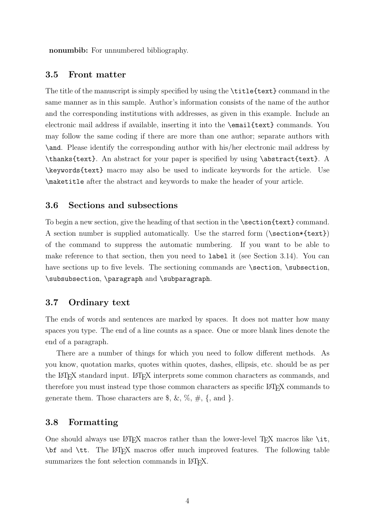nonumbib: For unnumbered bibliography.

#### 3.5 Front matter

The title of the manuscript is simply specified by using the \title{text} command in the same manner as in this sample. Author's information consists of the name of the author and the corresponding institutions with addresses, as given in this example. Include an electronic mail address if available, inserting it into the \email{text} commands. You may follow the same coding if there are more than one author; separate authors with \and. Please identify the corresponding author with his/her electronic mail address by \thanks{text}. An abstract for your paper is specified by using \abstract{text}. A \keywords{text} macro may also be used to indicate keywords for the article. Use \maketitle after the abstract and keywords to make the header of your article.

#### 3.6 Sections and subsections

To begin a new section, give the heading of that section in the **\section**{text} command. A section number is supplied automatically. Use the starred form (\section\*{text}) of the command to suppress the automatic numbering. If you want to be able to make reference to that section, then you need to label it (see Section 3.14). You can have sections up to five levels. The sectioning commands are \section, \subsection, \subsubsection, \paragraph and \subparagraph.

#### 3.7 Ordinary text

The ends of words and sentences are marked by spaces. It does not matter how many spaces you type. The end of a line counts as a space. One or more blank lines denote the end of a paragraph.

There are a number of things for which you need to follow different methods. As you know, quotation marks, quotes within quotes, dashes, ellipsis, etc. should be as per the LATEX standard input. LATEX interprets some common characters as commands, and therefore you must instead type those common characters as specific LAT<sub>EX</sub> commands to generate them. Those characters are  $\$, \&, \%, \#, \{$ , and  $\}.$ 

#### 3.8 Formatting

One should always use LATEX macros rather than the lower-level TEX macros like  $\iota$ it, \bf and \tt. The LATEX macros offer much improved features. The following table summarizes the font selection commands in LAT<sub>E</sub>X.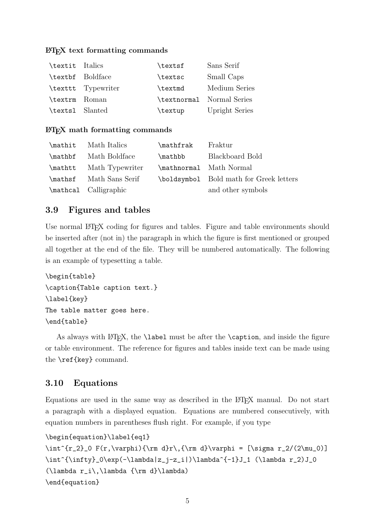#### LATEX text formatting commands

| \textit Italics |                    | \textsf | Sans Serif                |
|-----------------|--------------------|---------|---------------------------|
|                 | \textbf Boldface   | \textsc | Small Caps                |
|                 | \texttt Typewriter | \textmd | Medium Series             |
| \textrm Roman   |                    |         | \textnormal Normal Series |
| \texts1 Slanted |                    | \textup | <b>Upright Series</b>     |

#### $\Delta E$ F<sub>F</sub>X math formatting commands

| \mathit Math Italics    | \mathfrak | Fraktur                                 |
|-------------------------|-----------|-----------------------------------------|
| \mathbf Math Boldface   | \mathbb   | Blackboard Bold                         |
| \mathtt Math Typewriter |           | \mathnormal Math Normal                 |
| \mathsf Math Sans Serif |           | \boldsymbol Bold math for Greek letters |
| \mathcal Calligraphic   |           | and other symbols                       |

### 3.9 Figures and tables

Use normal LAT<sub>E</sub>X coding for figures and tables. Figure and table environments should be inserted after (not in) the paragraph in which the figure is first mentioned or grouped all together at the end of the file. They will be numbered automatically. The following is an example of typesetting a table.

```
\begin{table}
\caption{Table caption text.}
\label{key}
The table matter goes here.
\end{table}
```
As always with LATEX, the **\label** must be after the **\caption**, and inside the figure or table environment. The reference for figures and tables inside text can be made using the \ref{key} command.

## 3.10 Equations

Equations are used in the same way as described in the LATEX manual. Do not start a paragraph with a displayed equation. Equations are numbered consecutively, with equation numbers in parentheses flush right. For example, if you type

```
\begin{equation}\label{eq1}
```

```
\int^{r_2}_0 F(r,\varphi)\{\rm d}r,\{\rm d}\varphi = [\sigma r_2/(2\mu_0)]\int^{\infty}_0\exp(-\lambda|z_j-z_i|)\lambda^{-1}J_1 (\lambda r_2)J_0
(\lambda r_i\,\lambda {\rm d}\lambda)
\end{equation}
```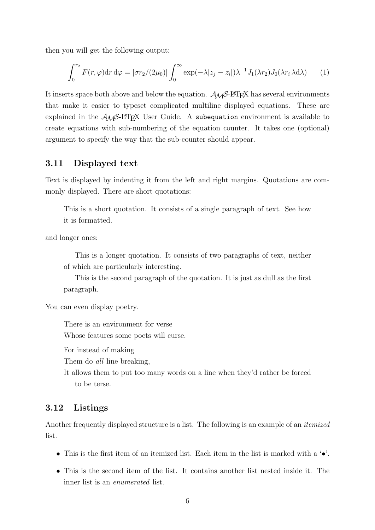then you will get the following output:

$$
\int_0^{r_2} F(r,\varphi) dr d\varphi = [\sigma r_2/(2\mu_0)] \int_0^{\infty} \exp(-\lambda |z_j - z_i|) \lambda^{-1} J_1(\lambda r_2) J_0(\lambda r_i \lambda d\lambda)
$$
 (1)

It inserts space both above and below the equation.  $\mathcal{A}_{\mathcal{M}}\mathcal{S}$ -LAT<sub>E</sub>X has several environments that make it easier to typeset complicated multiline displayed equations. These are explained in the  $A_{\mathcal{M}}S$ -L<sup>AT</sup>EX User Guide. A subequation environment is available to create equations with sub-numbering of the equation counter. It takes one (optional) argument to specify the way that the sub-counter should appear.

### 3.11 Displayed text

Text is displayed by indenting it from the left and right margins. Quotations are commonly displayed. There are short quotations:

This is a short quotation. It consists of a single paragraph of text. See how it is formatted.

and longer ones:

This is a longer quotation. It consists of two paragraphs of text, neither of which are particularly interesting.

This is the second paragraph of the quotation. It is just as dull as the first paragraph.

You can even display poetry.

There is an environment for verse Whose features some poets will curse.

For instead of making

Them do *all* line breaking,

It allows them to put too many words on a line when they'd rather be forced to be terse.

#### 3.12 Listings

Another frequently displayed structure is a list. The following is an example of an itemized list.

- This is the first item of an itemized list. Each item in the list is marked with a '•'.
- This is the second item of the list. It contains another list nested inside it. The inner list is an enumerated list.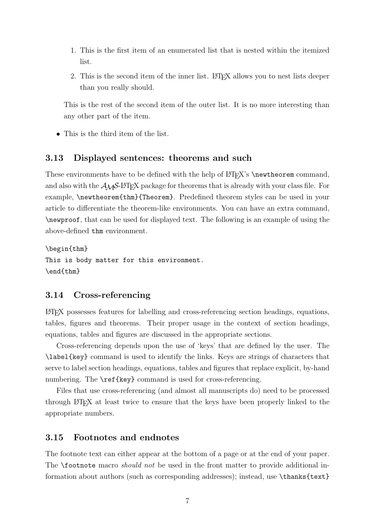- 1. This is the first item of an enumerated list that is nested within the itemized list.
- 2. This is the second item of the inner list. LAT<sub>EX</sub> allows you to nest lists deeper than you really should.

This is the rest of the second item of the outer list. It is no more interesting than any other part of the item.

• This is the third item of the list.

#### 3.13 Displayed sentences: theorems and such

These environments have to be defined with the help of  $\operatorname{LFT}_X$ 's  $\neq$  with express command, and also with the  $A_{\mathcal{M}}S$ -LAT<sub>E</sub>X package for theorems that is already with your class file. For example, \newtheorem{thm}{Theorem}. Predefined theorem styles can be used in your article to differentiate the theorem-like environments. You can have an extra command, \newproof, that can be used for displayed text. The following is an example of using the above-defined thm environment.

\begin{thm} This is body matter for this environment. \end{thm}

#### 3.14 Cross-referencing

LATEX possesses features for labelling and cross-referencing section headings, equations, tables, figures and theorems. Their proper usage in the context of section headings, equations, tables and figures are discussed in the appropriate sections.

Cross-referencing depends upon the use of 'keys' that are defined by the user. The \label{key} command is used to identify the links. Keys are strings of characters that serve to label section headings, equations, tables and figures that replace explicit, by-hand numbering. The \ref{key} command is used for cross-referencing.

Files that use cross-referencing (and almost all manuscripts do) need to be processed through LATEX at least twice to ensure that the keys have been properly linked to the appropriate numbers.

#### 3.15 Footnotes and endnotes

The footnote text can either appear at the bottom of a page or at the end of your paper. The **\footnote** macro *should not* be used in the front matter to provide additional information about authors (such as corresponding addresses); instead, use \thanks{text}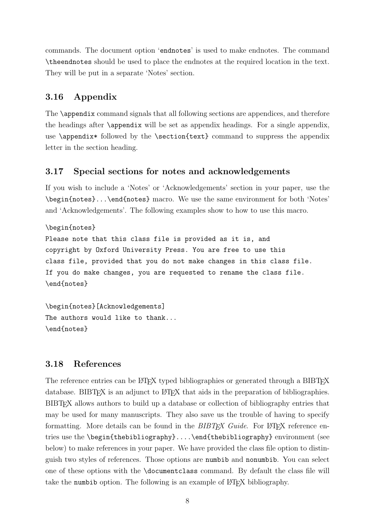commands. The document option 'endnotes' is used to make endnotes. The command \theendnotes should be used to place the endnotes at the required location in the text. They will be put in a separate 'Notes' section.

# 3.16 Appendix

The **\appendix** command signals that all following sections are appendices, and therefore the headings after \appendix will be set as appendix headings. For a single appendix, use  $\apacksquare$  is a followed by the  $\setminus$  section{text} command to suppress the appendix letter in the section heading.

# 3.17 Special sections for notes and acknowledgements

If you wish to include a 'Notes' or 'Acknowledgements' section in your paper, use the \begin{notes}...\end{notes} macro. We use the same environment for both 'Notes' and 'Acknowledgements'. The following examples show to how to use this macro.

```
\begin{notes}
```
Please note that this class file is provided as it is, and copyright by Oxford University Press. You are free to use this class file, provided that you do not make changes in this class file. If you do make changes, you are requested to rename the class file. \end{notes}

\begin{notes}[Acknowledgements] The authors would like to thank... \end{notes}

# 3.18 References

The reference entries can be L<sup>AT</sup>EX typed bibliographies or generated through a BIBTEX database. BIBT<sub>EX</sub> is an adjunct to LAT<sub>EX</sub> that aids in the preparation of bibliographies. BIBTEX allows authors to build up a database or collection of bibliography entries that may be used for many manuscripts. They also save us the trouble of having to specify formatting. More details can be found in the  $BIBT_FX$  Guide. For LAT<sub>F</sub>X reference entries use the \begin{thebibliography}....\end{thebibliography} environment (see below) to make references in your paper. We have provided the class file option to distinguish two styles of references. Those options are numbib and nonumbib. You can select one of these options with the \documentclass command. By default the class file will take the numbib option. The following is an example of  $\mathbb{P}T_{\mathbb{F}}X$  bibliography.